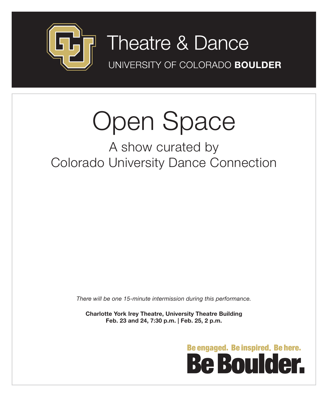

## **7** Theatre & Dance

UNIVERSITY OF COLORADO BOULDER

# Open Space

## A show curated by Colorado University Dance Connection

*There will be one 15-minute intermission during this performance.*

**Charlotte York Irey Theatre, University Theatre Building Feb. 23 and 24, 7:30 p.m. | Feb. 25, 2 p.m.**

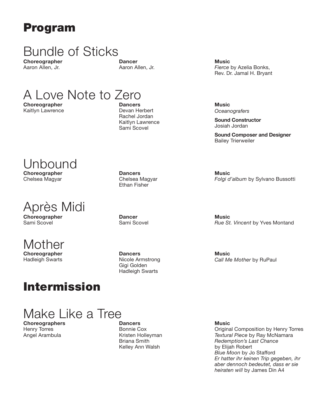## Program

## Bundle of Sticks

**Choreographer** Aaron Allen, Jr.

**Dancer** Aaron Allen, Jr.

## A Love Note to Zero

**Choreographer** Kaitlyn Lawrence

Unbound

**Choreographer** Chelsea Magyar

**Choreographer** Sami Scovel

Mother

**Choreographer** Hadleigh Swarts

Après Midi

**Dancers** Devan Herbert Rachel Jordan Kaitlyn Lawrence Sami Scovel

**Music** *Fierce* by Azelia Bonks, Rev. Dr. Jamal H. Bryant

**Music** *Oceanografers*

**Music**

**Sound Constructor** Josiah Jordan

**Sound Composer and Designer** Bailey Trierweiler

**Dancers** Chelsea Magyar Ethan Fisher

**Dancer** Sami Scovel **Music** *Rue St. Vincent* by Yves Montand

*Folgi d'album* by Sylvano Bussotti

**Music** *Call Me Mother* by RuPaul

**Dancers** Nicole Armstrong Gigi Golden Hadleigh Swarts

Make Like a Tree

Intermission

**Choreographers** Henry Torres Angel Arambula

**Dancers** Bonnie Cox Kristen Holleyman Briana Smith Kelley Ann Walsh

**Music** Original Composition by Henry Torres *Textural Piece* by Ray McNamara *Redemption's Last Chance* by Elijah Robert *Blue Moon* by Jo Stafford *Er hatter ihr keinen Trip gegeben, ihr aber dennoch bedeutet, dass er sie heiraten will* by James Din A4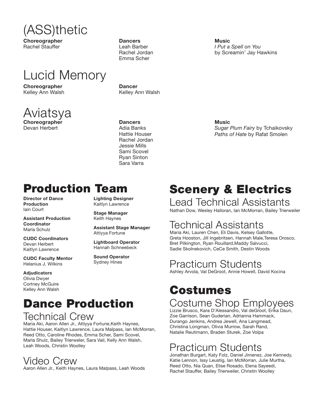

**Choreographer** Rachel Stauffer

## Lucid Memory

**Choreographer** Kelley Ann Walsh



Devan Herbert

**Dancers** Leah Barber Rachel Jordan Emma Scher

**Dancer** Kelley Ann Walsh

**Dancers** Adia Banks Hattie Houser Rachel Jordan Jessie Mills Sami Scovel Ryan Sinton Sara Varra

**Music** *I Put a Spell on You* by Screamin' Jay Hawkins

**Music** *Sugar Plum Fairy* by Tchaikovsky *Paths of Hate* by Rafat Smolen

## Production Team

**Director of Dance Production** Iain Court

**Assistant Production Coordinator** Marla Schulz

**CUDC Coordinators** Devan Herbert Kaitlyn Lawrence

**CUDC Faculty Mentor** Helanius J. Wilkins

**Adjudicators** Olivia Dwyer Cortney McGuire Kelley Ann Walsh **Lighting Designer** Kaitlyn Lawrence

**Stage Manager** Keith Haynes

**Assistant Stage Manager** Attiyya Fortune

**Lightboard Operator** Hannah Schneebeck

**Sound Operator** Sydney Hines

## Dance Production

### Technical Crew

Maria Aki, Aaron Allen Jr., Attiyya Fortune,Keith Haynes, Hattie Houser, Kaitlyn Lawrence, Laura Malpass, Ian McMorran, Reed Otto, Caroline Rhodes, Emma Scher, Sami Scovel, Marla Shulz, Bailey Trierweler, Sara Vail, Kelly Ann Walsh, Leah Woods, Christin Woolley

### Video Crew

Aaron Allen Jr., Keith Haynes, Laura Malpass, Leah Woods

## Scenery & Electrics

### Lead Technical Assistants

Nathan Dow, Wesley Halloran, Ian McMorran, Bailey Trierweiler

### Technical Assistants

Maria Aki, Lauren Chen, Eli Davis, Kelsey Gallotte, Greta Hooston, Jill Ingebritsen, Hannah Male,Teresa Orosco, Bret Pilkington, Ryan Rouillard,Maddy Salvucci, Sadie Skolnekovich, CeCe Smith, Destin Woods

### Practicum Students

Ashley Arvola, Val DeGroot, Annie Howell, David Kocina

## Costumes Costume Shop Employees Lizzie Brusco, Kara D'Alessandro, Val deGroot, Erika Daun,

Zoe Garrison, Sean Guderian, Adrianna Hammack, Durango Jenkins, Andrea Jewell, Ana Langmead, Christina Longman, Olivia Murrow, Sarah Rand, Natalie Reutimann, Braden Sturek, Zoe Volpa

## Practicum Students

Jonathan Burgart, Katy Folz, Daniel Jimenez, Joe Kennedy, Katie Lennon, Issy Leustig, Ian McMorran, Julie Murtha, Reed Otto, Nia Quan, Elise Rosado, Elena Sayeedi, Rachel Stauffer, Bailey Trierweiler, Christin Woolley